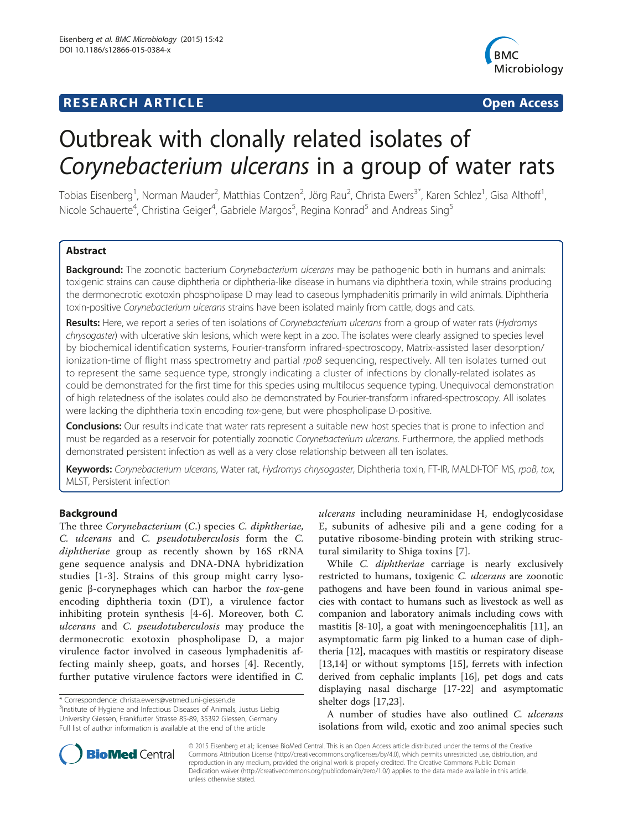# **RESEARCH ARTICLE Example 2014 CONSIDERING A RESEARCH ARTICLE**



# Outbreak with clonally related isolates of Corynebacterium ulcerans in a group of water rats

Tobias Eisenberg<sup>1</sup>, Norman Mauder<sup>2</sup>, Matthias Contzen<sup>2</sup>, Jörg Rau<sup>2</sup>, Christa Ewers<sup>3\*</sup>, Karen Schlez<sup>1</sup>, Gisa Althoff<sup>1</sup> , Nicole Schauerte<sup>4</sup>, Christina Geiger<sup>4</sup>, Gabriele Margos<sup>5</sup>, Regina Konrad<sup>5</sup> and Andreas Sing<sup>5</sup>

# Abstract

Background: The zoonotic bacterium Corynebacterium ulcerans may be pathogenic both in humans and animals: toxigenic strains can cause diphtheria or diphtheria-like disease in humans via diphtheria toxin, while strains producing the dermonecrotic exotoxin phospholipase D may lead to caseous lymphadenitis primarily in wild animals. Diphtheria toxin-positive Corynebacterium ulcerans strains have been isolated mainly from cattle, dogs and cats.

Results: Here, we report a series of ten isolations of Corynebacterium ulcerans from a group of water rats (Hydromys chrysogaster) with ulcerative skin lesions, which were kept in a zoo. The isolates were clearly assigned to species level by biochemical identification systems, Fourier-transform infrared-spectroscopy, Matrix-assisted laser desorption/ ionization-time of flight mass spectrometry and partial rpoB sequencing, respectively. All ten isolates turned out to represent the same sequence type, strongly indicating a cluster of infections by clonally-related isolates as could be demonstrated for the first time for this species using multilocus sequence typing. Unequivocal demonstration of high relatedness of the isolates could also be demonstrated by Fourier-transform infrared-spectroscopy. All isolates were lacking the diphtheria toxin encoding tox-gene, but were phospholipase D-positive.

Conclusions: Our results indicate that water rats represent a suitable new host species that is prone to infection and must be regarded as a reservoir for potentially zoonotic Corynebacterium ulcerans. Furthermore, the applied methods demonstrated persistent infection as well as a very close relationship between all ten isolates.

Keywords: Corynebacterium ulcerans, Water rat, Hydromys chrysogaster, Diphtheria toxin, FT-IR, MALDI-TOF MS, rpoB, tox, MLST, Persistent infection

# Background

The three Corynebacterium (C.) species C. diphtheriae, C. ulcerans and C. pseudotuberculosis form the C. diphtheriae group as recently shown by 16S rRNA gene sequence analysis and DNA-DNA hybridization studies [[1](#page-8-0)-[3\]](#page-8-0). Strains of this group might carry lysogenic β-corynephages which can harbor the tox-gene encoding diphtheria toxin (DT), a virulence factor inhibiting protein synthesis [[4-6\]](#page-8-0). Moreover, both C. ulcerans and C. pseudotuberculosis may produce the dermonecrotic exotoxin phospholipase D, a major virulence factor involved in caseous lymphadenitis affecting mainly sheep, goats, and horses [[4](#page-8-0)]. Recently, further putative virulence factors were identified in C.

ulcerans including neuraminidase H, endoglycosidase E, subunits of adhesive pili and a gene coding for a putative ribosome-binding protein with striking structural similarity to Shiga toxins [[7](#page-8-0)].

While C. diphtheriae carriage is nearly exclusively restricted to humans, toxigenic C. ulcerans are zoonotic pathogens and have been found in various animal species with contact to humans such as livestock as well as companion and laboratory animals including cows with mastitis [[8-10](#page-8-0)], a goat with meningoencephalitis [\[11](#page-8-0)], an asymptomatic farm pig linked to a human case of diphtheria [\[12](#page-8-0)], macaques with mastitis or respiratory disease [[13,14\]](#page-8-0) or without symptoms [[15](#page-8-0)], ferrets with infection derived from cephalic implants [[16](#page-8-0)], pet dogs and cats displaying nasal discharge [\[17-22](#page-8-0)] and asymptomatic shelter dogs [[17,23\]](#page-8-0).

A number of studies have also outlined C. ulcerans isolations from wild, exotic and zoo animal species such



© 2015 Eisenberg et al.; licensee BioMed Central. This is an Open Access article distributed under the terms of the Creative Commons Attribution License [\(http://creativecommons.org/licenses/by/4.0\)](http://creativecommons.org/licenses/by/4.0), which permits unrestricted use, distribution, and reproduction in any medium, provided the original work is properly credited. The Creative Commons Public Domain Dedication waiver [\(http://creativecommons.org/publicdomain/zero/1.0/](http://creativecommons.org/publicdomain/zero/1.0/)) applies to the data made available in this article, unless otherwise stated.

<sup>\*</sup> Correspondence: [christa.ewers@vetmed.uni-giessen.de](mailto:christa.ewers@vetmed.uni-giessen.de) <sup>3</sup>

<sup>&</sup>lt;sup>3</sup>Institute of Hygiene and Infectious Diseases of Animals, Justus Liebig University Giessen, Frankfurter Strasse 85-89, 35392 Giessen, Germany Full list of author information is available at the end of the article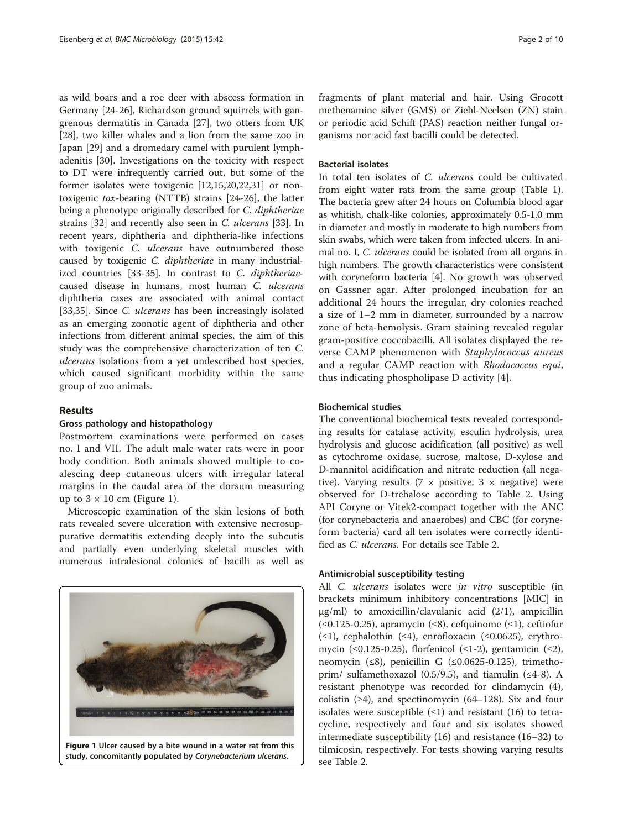<span id="page-1-0"></span>as wild boars and a roe deer with abscess formation in Germany [[24](#page-8-0)-[26\]](#page-8-0), Richardson ground squirrels with gangrenous dermatitis in Canada [[27](#page-8-0)], two otters from UK [[28\]](#page-8-0), two killer whales and a lion from the same zoo in Japan [\[29](#page-8-0)] and a dromedary camel with purulent lymphadenitis [\[30](#page-8-0)]. Investigations on the toxicity with respect to DT were infrequently carried out, but some of the former isolates were toxigenic [\[12,15,20,22,31\]](#page-8-0) or nontoxigenic tox-bearing (NTTB) strains [[24](#page-8-0)-[26\]](#page-8-0), the latter being a phenotype originally described for C. diphtheriae strains [[32\]](#page-8-0) and recently also seen in C. ulcerans [[33](#page-8-0)]. In recent years, diphtheria and diphtheria-like infections with toxigenic C. *ulcerans* have outnumbered those caused by toxigenic C. diphtheriae in many industrialized countries [\[33](#page-8-0)-[35](#page-8-0)]. In contrast to C. diphtheriaecaused disease in humans, most human C. ulcerans diphtheria cases are associated with animal contact [[33,35\]](#page-8-0). Since C. ulcerans has been increasingly isolated as an emerging zoonotic agent of diphtheria and other infections from different animal species, the aim of this study was the comprehensive characterization of ten C. ulcerans isolations from a yet undescribed host species, which caused significant morbidity within the same group of zoo animals.

#### Results

#### Gross pathology and histopathology

Postmortem examinations were performed on cases no. I and VII. The adult male water rats were in poor body condition. Both animals showed multiple to coalescing deep cutaneous ulcers with irregular lateral margins in the caudal area of the dorsum measuring up to  $3 \times 10$  cm (Figure 1).

Microscopic examination of the skin lesions of both rats revealed severe ulceration with extensive necrosuppurative dermatitis extending deeply into the subcutis and partially even underlying skeletal muscles with numerous intralesional colonies of bacilli as well as



Biochemical studies

The conventional biochemical tests revealed corresponding results for catalase activity, esculin hydrolysis, urea hydrolysis and glucose acidification (all positive) as well as cytochrome oxidase, sucrose, maltose, D-xylose and D-mannitol acidification and nitrate reduction (all negative). Varying results (7  $\times$  positive, 3  $\times$  negative) were observed for D-trehalose according to Table [2.](#page-2-0) Using API Coryne or Vitek2-compact together with the ANC (for corynebacteria and anaerobes) and CBC (for coryneform bacteria) card all ten isolates were correctly identified as C. ulcerans. For details see Table [2](#page-2-0).

#### Antimicrobial susceptibility testing

All *C. ulcerans* isolates were *in vitro* susceptible (in brackets minimum inhibitory concentrations [MIC] in  $\mu$ g/ml) to amoxicillin/clavulanic acid (2/1), ampicillin  $(\leq 0.125 - 0.25)$ , apramycin  $(\leq 8)$ , cefquinome  $(\leq 1)$ , ceftiofur  $(\leq 1)$ , cephalothin  $(\leq 4)$ , enrofloxacin  $(\leq 0.0625)$ , erythromycin (≤0.125-0.25), florfenicol (≤1-2), gentamicin (≤2), neomycin (≤8), penicillin G (≤0.0625-0.125), trimethoprim/ sulfamethoxazol (0.5/9.5), and tiamulin (≤4-8). A resistant phenotype was recorded for clindamycin (4), colistin  $(≥4)$ , and spectinomycin  $(64–128)$ . Six and four isolates were susceptible  $(\leq 1)$  and resistant (16) to tetracycline, respectively and four and six isolates showed intermediate susceptibility (16) and resistance (16–32) to tilmicosin, respectively. For tests showing varying results see Table [2.](#page-2-0)

fragments of plant material and hair. Using Grocott methenamine silver (GMS) or Ziehl-Neelsen (ZN) stain or periodic acid Schiff (PAS) reaction neither fungal organisms nor acid fast bacilli could be detected.

# Bacterial isolates

In total ten isolates of C. ulcerans could be cultivated from eight water rats from the same group (Table [1](#page-2-0)). The bacteria grew after 24 hours on Columbia blood agar as whitish, chalk-like colonies, approximately 0.5-1.0 mm in diameter and mostly in moderate to high numbers from skin swabs, which were taken from infected ulcers. In animal no. I, C. ulcerans could be isolated from all organs in high numbers. The growth characteristics were consistent with coryneform bacteria [[4\]](#page-8-0). No growth was observed on Gassner agar. After prolonged incubation for an additional 24 hours the irregular, dry colonies reached a size of 1–2 mm in diameter, surrounded by a narrow zone of beta-hemolysis. Gram staining revealed regular gram-positive coccobacilli. All isolates displayed the reverse CAMP phenomenon with Staphylococcus aureus and a regular CAMP reaction with Rhodococcus equi, thus indicating phospholipase D activity [[4\]](#page-8-0).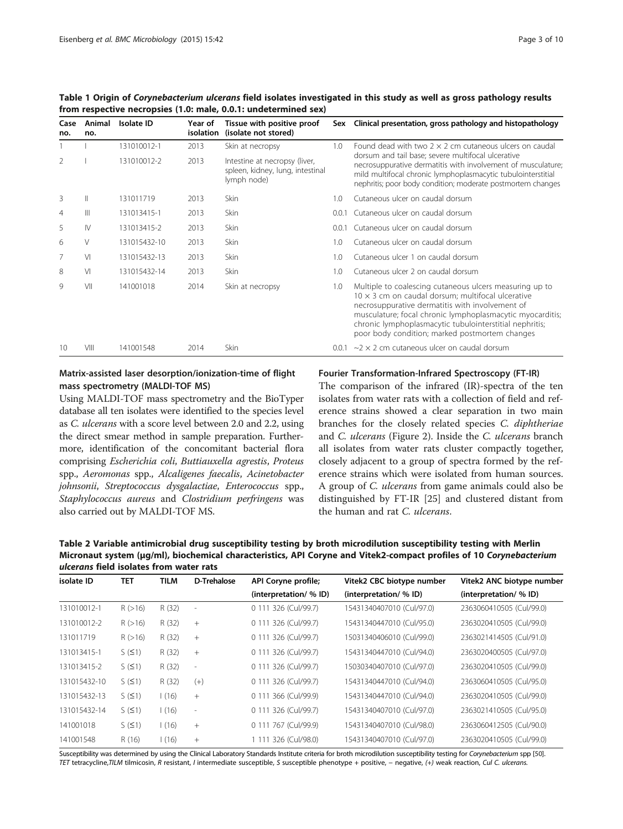| Case<br>no.    | Animal<br>no. | Isolate ID   | Year of<br>isolation | Tissue with positive proof<br>(isolate not stored)                               | Sex   | Clinical presentation, gross pathology and histopathology                                                                                                                                                                                                                                                                                        |  |
|----------------|---------------|--------------|----------------------|----------------------------------------------------------------------------------|-------|--------------------------------------------------------------------------------------------------------------------------------------------------------------------------------------------------------------------------------------------------------------------------------------------------------------------------------------------------|--|
|                |               | 131010012-1  | 2013                 | Skin at necropsy                                                                 | 1.0   | Found dead with two $2 \times 2$ cm cutaneous ulcers on caudal<br>dorsum and tail base; severe multifocal ulcerative<br>necrosuppurative dermatitis with involvement of musculature;<br>mild multifocal chronic lymphoplasmacytic tubulointerstitial<br>nephritis; poor body condition; moderate postmortem changes                              |  |
| $\overline{2}$ |               | 131010012-2  | 2013                 | Intestine at necropsy (liver,<br>spleen, kidney, lung, intestinal<br>lymph node) |       |                                                                                                                                                                                                                                                                                                                                                  |  |
| 3              | $\mathbb{I}$  | 131011719    | 2013                 | Skin                                                                             | 1.0   | Cutaneous ulcer on caudal dorsum                                                                                                                                                                                                                                                                                                                 |  |
| 4              | Ш             | 131013415-1  | 2013                 | <b>Skin</b>                                                                      | 0.0.1 | Cutaneous ulcer on caudal dorsum                                                                                                                                                                                                                                                                                                                 |  |
| 5              | $\mathsf{N}$  | 131013415-2  | 2013                 | <b>Skin</b>                                                                      | 0.0.1 | Cutaneous ulcer on caudal dorsum                                                                                                                                                                                                                                                                                                                 |  |
| 6              | V             | 131015432-10 | 2013                 | Skin                                                                             | 1.0   | Cutaneous ulcer on caudal dorsum                                                                                                                                                                                                                                                                                                                 |  |
| $\overline{7}$ | $\vee$        | 131015432-13 | 2013                 | Skin                                                                             | 1.0   | Cutaneous ulcer 1 on caudal dorsum                                                                                                                                                                                                                                                                                                               |  |
| 8              | $\vee$        | 131015432-14 | 2013                 | <b>Skin</b>                                                                      | 1.0   | Cutaneous ulcer 2 on caudal dorsum                                                                                                                                                                                                                                                                                                               |  |
| 9              | VII           | 141001018    | 2014                 | Skin at necropsy                                                                 | 1.0   | Multiple to coalescing cutaneous ulcers measuring up to<br>$10 \times 3$ cm on caudal dorsum; multifocal ulcerative<br>necrosuppurative dermatitis with involvement of<br>musculature; focal chronic lymphoplasmacytic myocarditis;<br>chronic lymphoplasmacytic tubulointerstitial nephritis;<br>poor body condition; marked postmortem changes |  |
| 10             | VIII          | 141001548    | 2014                 | <b>Skin</b>                                                                      | 0.0.1 | $\sim$ 2 $\times$ 2 cm cutaneous ulcer on caudal dorsum                                                                                                                                                                                                                                                                                          |  |

<span id="page-2-0"></span>Table 1 Origin of Corynebacterium ulcerans field isolates investigated in this study as well as gross pathology results from respective necropsies (1.0: male, 0.0.1: undetermined sex)

# Matrix-assisted laser desorption/ionization-time of flight mass spectrometry (MALDI-TOF MS)

Using MALDI-TOF mass spectrometry and the BioTyper database all ten isolates were identified to the species level as C. ulcerans with a score level between 2.0 and 2.2, using the direct smear method in sample preparation. Furthermore, identification of the concomitant bacterial flora comprising Escherichia coli, Buttiauxella agrestis, Proteus spp., Aeromonas spp., Alcaligenes faecalis, Acinetobacter johnsonii, Streptococcus dysgalactiae, Enterococcus spp., Staphylococcus aureus and Clostridium perfringens was also carried out by MALDI-TOF MS.

# Fourier Transformation-Infrared Spectroscopy (FT-IR)

The comparison of the infrared (IR)-spectra of the ten isolates from water rats with a collection of field and reference strains showed a clear separation in two main branches for the closely related species C. diphtheriae and C. ulcerans (Figure [2\)](#page-3-0). Inside the C. ulcerans branch all isolates from water rats cluster compactly together, closely adjacent to a group of spectra formed by the reference strains which were isolated from human sources. A group of C. ulcerans from game animals could also be distinguished by FT-IR [[25](#page-8-0)] and clustered distant from the human and rat C. ulcerans.

Table 2 Variable antimicrobial drug susceptibility testing by broth microdilution susceptibility testing with Merlin Micronaut system (μg/ml), biochemical characteristics, API Coryne and Vitek2-compact profiles of 10 Corynebacterium ulcerans field isolates from water rats

| isolate ID   | TET     | <b>TILM</b> | D-Trehalose              | API Coryne profile;     | Vitek2 CBC biotype number | Vitek2 ANC biotype number<br>(interpretation/ % ID) |
|--------------|---------|-------------|--------------------------|-------------------------|---------------------------|-----------------------------------------------------|
|              |         |             |                          | (interpretation/ % ID)  | (interpretation/ % ID)    |                                                     |
| 131010012-1  | R (>16) | R (32)      | $\overline{\phantom{a}}$ | 0 111 326 (Cul/99.7)    | 15431340407010 (Cul/97.0) | 2363060410505 (Cul/99.0)                            |
| 131010012-2  | R (>16) | R (32)      | $^{+}$                   | 326 (Cul/99.7)<br>0.111 | 15431340447010 (Cul/95.0) | 2363020410505 (Cul/99.0)                            |
| 131011719    | R (>16) | R (32)      | $+$                      | 326 (Cul/99.7)<br>0111  | 15031340406010 (Cul/99.0) | 2363021414505 (Cul/91.0)                            |
| 131013415-1  | S(S1)   | R (32)      | $+$                      | 0 111 326 (Cul/99.7)    | 15431340447010 (Cul/94.0) | 2363020400505 (Cul/97.0)                            |
| 131013415-2  | S(S1)   | R (32)      | $\overline{\phantom{a}}$ | 0 111 326 (Cul/99.7)    | 15030340407010 (Cul/97.0) | 2363020410505 (Cul/99.0)                            |
| 131015432-10 | S(S1)   | R (32)      | $(+)$                    | 0 111 326 (Cul/99.7)    | 15431340447010 (Cul/94.0) | 2363060410505 (Cul/95.0)                            |
| 131015432-13 | S(S1)   | (16)        | $^{+}$                   | 366 (Cul/99.9)<br>0.111 | 15431340447010 (Cul/94.0) | 2363020410505 (Cul/99.0)                            |
| 131015432-14 | S(S1)   | (16)        | $\overline{\phantom{a}}$ | 326 (Cul/99.7)<br>0.111 | 15431340407010 (Cul/97.0) | 2363021410505 (Cul/95.0)                            |
| 141001018    | S(S1)   | (16)        | $^{+}$                   | 0 111 767 (Cul/99.9)    | 15431340407010 (Cul/98.0) | 2363060412505 (Cul/90.0)                            |
| 141001548    | R (16)  | (16)        | $+$                      | 326 (Cul/98.0)          | 15431340407010 (Cul/97.0) | 2363020410505 (Cul/99.0)                            |

Susceptibility was determined by using the Clinical Laboratory Standards Institute criteria for broth microdilution susceptibility testing for Corynebacterium spp [\[50](#page-9-0)]. TET tetracycline,TILM tilmicosin, R resistant, / intermediate susceptible, S susceptible phenotype + positive, - negative, (+) weak reaction, Cul C. ulcerans.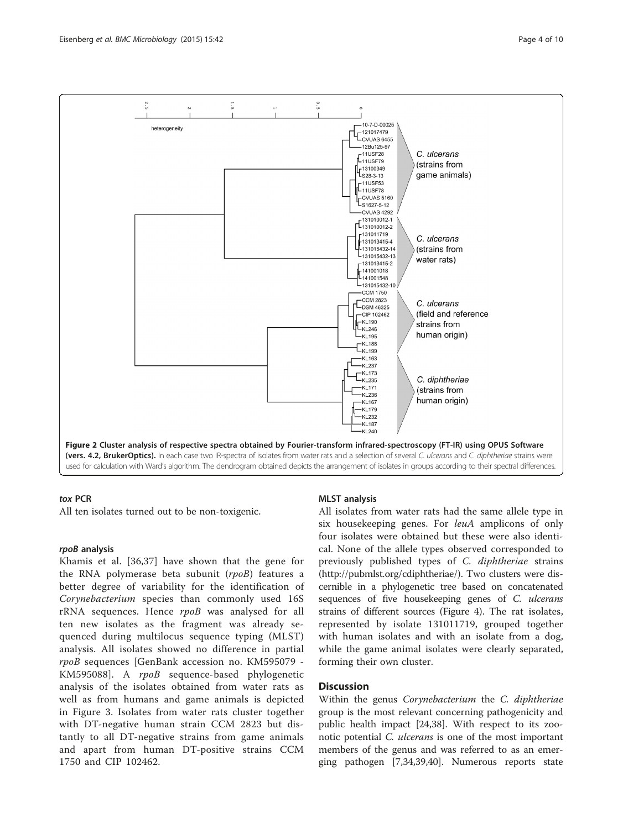<span id="page-3-0"></span>

#### tox PCR

All ten isolates turned out to be non-toxigenic.

#### rpoB analysis

Khamis et al. [[36](#page-8-0),[37\]](#page-8-0) have shown that the gene for the RNA polymerase beta subunit (rpoB) features a better degree of variability for the identification of Corynebacterium species than commonly used 16S rRNA sequences. Hence rpoB was analysed for all ten new isolates as the fragment was already sequenced during multilocus sequence typing (MLST) analysis. All isolates showed no difference in partial rpoB sequences [GenBank accession no. KM595079 - KM595088]. A rpoB sequence-based phylogenetic analysis of the isolates obtained from water rats as well as from humans and game animals is depicted in Figure [3.](#page-4-0) Isolates from water rats cluster together with DT-negative human strain CCM 2823 but distantly to all DT-negative strains from game animals and apart from human DT-positive strains CCM 1750 and CIP 102462.

#### MLST analysis

All isolates from water rats had the same allele type in six housekeeping genes. For leuA amplicons of only four isolates were obtained but these were also identical. None of the allele types observed corresponded to previously published types of C. diphtheriae strains ([http://pubmlst.org/cdiphtheriae/\)](http://pubmlst.org/cdiphtheriae/). Two clusters were discernible in a phylogenetic tree based on concatenated sequences of five housekeeping genes of C. ulcerans strains of different sources (Figure [4](#page-4-0)). The rat isolates, represented by isolate 131011719, grouped together with human isolates and with an isolate from a dog, while the game animal isolates were clearly separated, forming their own cluster.

## **Discussion**

Within the genus Corynebacterium the C. diphtheriae group is the most relevant concerning pathogenicity and public health impact [[24,38\]](#page-8-0). With respect to its zoonotic potential C. *ulcerans* is one of the most important members of the genus and was referred to as an emerging pathogen [\[7,34,39,40](#page-8-0)]. Numerous reports state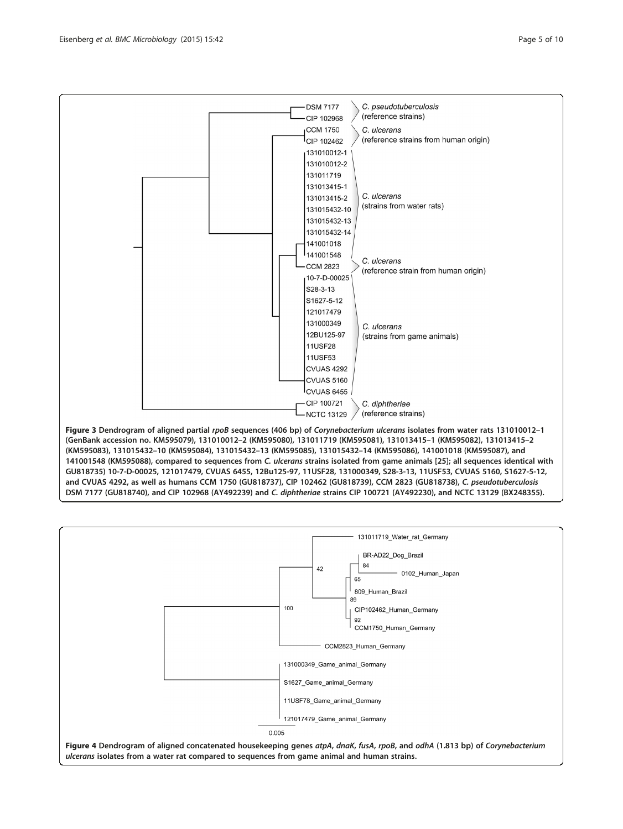<span id="page-4-0"></span>



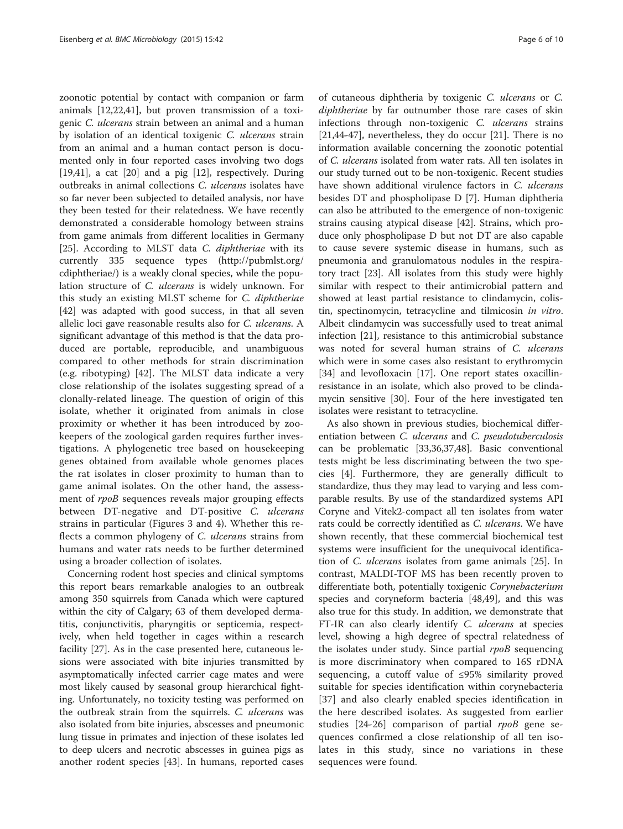zoonotic potential by contact with companion or farm animals [\[12,22,41\]](#page-8-0), but proven transmission of a toxigenic C. ulcerans strain between an animal and a human by isolation of an identical toxigenic C. ulcerans strain from an animal and a human contact person is documented only in four reported cases involving two dogs [[19,41\]](#page-8-0), a cat [[20](#page-8-0)] and a pig [\[12](#page-8-0)], respectively. During outbreaks in animal collections C. ulcerans isolates have so far never been subjected to detailed analysis, nor have they been tested for their relatedness. We have recently demonstrated a considerable homology between strains from game animals from different localities in Germany [[25\]](#page-8-0). According to MLST data C. diphtheriae with its currently 335 sequence types ([http://pubmlst.org/](http://pubmlst.org/cdiphtheriae/) [cdiphtheriae/\)](http://pubmlst.org/cdiphtheriae/) is a weakly clonal species, while the population structure of C. ulcerans is widely unknown. For this study an existing MLST scheme for C. diphtheriae [[42\]](#page-9-0) was adapted with good success, in that all seven allelic loci gave reasonable results also for C. ulcerans. A significant advantage of this method is that the data produced are portable, reproducible, and unambiguous compared to other methods for strain discrimination (e.g. ribotyping) [\[42](#page-9-0)]. The MLST data indicate a very close relationship of the isolates suggesting spread of a clonally-related lineage. The question of origin of this isolate, whether it originated from animals in close proximity or whether it has been introduced by zookeepers of the zoological garden requires further investigations. A phylogenetic tree based on housekeeping genes obtained from available whole genomes places the rat isolates in closer proximity to human than to game animal isolates. On the other hand, the assessment of *rpoB* sequences reveals major grouping effects between DT-negative and DT-positive C. ulcerans strains in particular (Figures [3](#page-4-0) and [4](#page-4-0)). Whether this reflects a common phylogeny of C. ulcerans strains from humans and water rats needs to be further determined using a broader collection of isolates.

Concerning rodent host species and clinical symptoms this report bears remarkable analogies to an outbreak among 350 squirrels from Canada which were captured within the city of Calgary; 63 of them developed dermatitis, conjunctivitis, pharyngitis or septicemia, respectively, when held together in cages within a research facility [[27\]](#page-8-0). As in the case presented here, cutaneous lesions were associated with bite injuries transmitted by asymptomatically infected carrier cage mates and were most likely caused by seasonal group hierarchical fighting. Unfortunately, no toxicity testing was performed on the outbreak strain from the squirrels. C. ulcerans was also isolated from bite injuries, abscesses and pneumonic lung tissue in primates and injection of these isolates led to deep ulcers and necrotic abscesses in guinea pigs as another rodent species [[43](#page-9-0)]. In humans, reported cases

of cutaneous diphtheria by toxigenic C. ulcerans or C. diphtheriae by far outnumber those rare cases of skin infections through non-toxigenic C. ulcerans strains [[21,](#page-8-0)[44-47\]](#page-9-0), nevertheless, they do occur [[21\]](#page-8-0). There is no information available concerning the zoonotic potential of C. ulcerans isolated from water rats. All ten isolates in our study turned out to be non-toxigenic. Recent studies have shown additional virulence factors in C. ulcerans besides DT and phospholipase D [\[7](#page-8-0)]. Human diphtheria can also be attributed to the emergence of non-toxigenic strains causing atypical disease [[42\]](#page-9-0). Strains, which produce only phospholipase D but not DT are also capable to cause severe systemic disease in humans, such as pneumonia and granulomatous nodules in the respiratory tract [\[23](#page-8-0)]. All isolates from this study were highly similar with respect to their antimicrobial pattern and showed at least partial resistance to clindamycin, colistin, spectinomycin, tetracycline and tilmicosin in vitro. Albeit clindamycin was successfully used to treat animal infection [[21](#page-8-0)], resistance to this antimicrobial substance was noted for several human strains of C. ulcerans which were in some cases also resistant to erythromycin [[34\]](#page-8-0) and levofloxacin [[17](#page-8-0)]. One report states oxacillinresistance in an isolate, which also proved to be clindamycin sensitive [[30](#page-8-0)]. Four of the here investigated ten isolates were resistant to tetracycline.

As also shown in previous studies, biochemical differentiation between C. ulcerans and C. pseudotuberculosis can be problematic [[33,36,37](#page-8-0)[,48](#page-9-0)]. Basic conventional tests might be less discriminating between the two species [\[4](#page-8-0)]. Furthermore, they are generally difficult to standardize, thus they may lead to varying and less comparable results. By use of the standardized systems API Coryne and Vitek2-compact all ten isolates from water rats could be correctly identified as C. ulcerans. We have shown recently, that these commercial biochemical test systems were insufficient for the unequivocal identification of C. ulcerans isolates from game animals [[25](#page-8-0)]. In contrast, MALDI-TOF MS has been recently proven to differentiate both, potentially toxigenic Corynebacterium species and coryneform bacteria [\[48,49](#page-9-0)], and this was also true for this study. In addition, we demonstrate that FT-IR can also clearly identify C. ulcerans at species level, showing a high degree of spectral relatedness of the isolates under study. Since partial rpoB sequencing is more discriminatory when compared to 16S rDNA sequencing, a cutoff value of ≤95% similarity proved suitable for species identification within corynebacteria [[37](#page-8-0)] and also clearly enabled species identification in the here described isolates. As suggested from earlier studies  $[24-26]$  $[24-26]$  $[24-26]$  comparison of partial  $rpoB$  gene sequences confirmed a close relationship of all ten isolates in this study, since no variations in these sequences were found.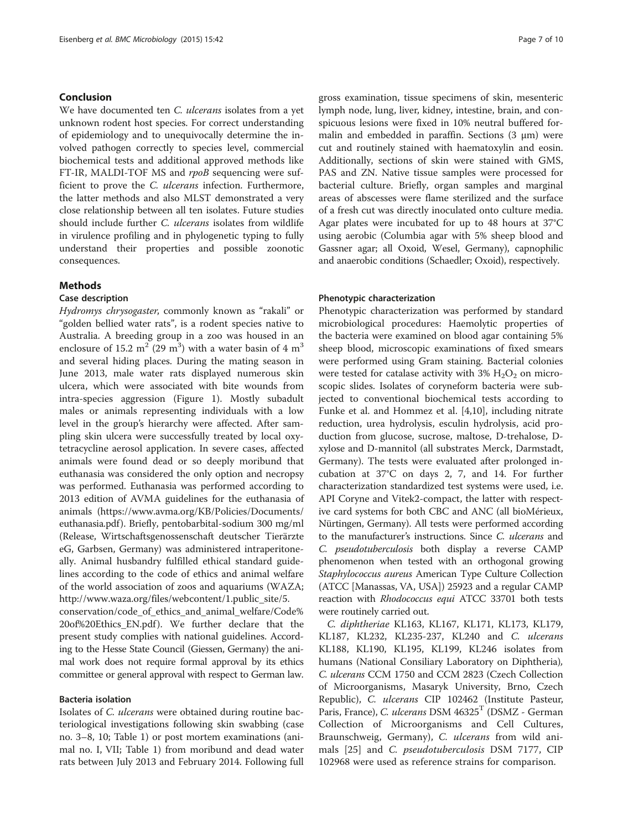#### Conclusion

We have documented ten C. ulcerans isolates from a yet unknown rodent host species. For correct understanding of epidemiology and to unequivocally determine the involved pathogen correctly to species level, commercial biochemical tests and additional approved methods like FT-IR, MALDI-TOF MS and rpoB sequencing were sufficient to prove the C. ulcerans infection. Furthermore, the latter methods and also MLST demonstrated a very close relationship between all ten isolates. Future studies should include further *C. ulcerans* isolates from wildlife in virulence profiling and in phylogenetic typing to fully understand their properties and possible zoonotic consequences.

#### Methods

# Case description

Hydromys chrysogaster, commonly known as "rakali" or "golden bellied water rats", is a rodent species native to Australia. A breeding group in a zoo was housed in an enclosure of 15.2  $m^2$  (29 m<sup>3</sup>) with a water basin of 4 m<sup>3</sup> and several hiding places. During the mating season in June 2013, male water rats displayed numerous skin ulcera, which were associated with bite wounds from intra-species aggression (Figure [1](#page-1-0)). Mostly subadult males or animals representing individuals with a low level in the group's hierarchy were affected. After sampling skin ulcera were successfully treated by local oxytetracycline aerosol application. In severe cases, affected animals were found dead or so deeply moribund that euthanasia was considered the only option and necropsy was performed. Euthanasia was performed according to 2013 edition of AVMA guidelines for the euthanasia of animals [\(https://www.avma.org/KB/Policies/Documents/](https://www.avma.org/KB/Policies/Documents/euthanasia.pdf) [euthanasia.pdf](https://www.avma.org/KB/Policies/Documents/euthanasia.pdf)). Briefly, pentobarbital-sodium 300 mg/ml (Release, Wirtschaftsgenossenschaft deutscher Tierärzte eG, Garbsen, Germany) was administered intraperitoneally. Animal husbandry fulfilled ethical standard guidelines according to the code of ethics and animal welfare of the world association of zoos and aquariums (WAZA; [http://www.waza.org/files/webcontent/1.public\\_site/5.](http://www.waza.org/files/webcontent/1.public_site/5.conservation/code_of_ethics_and_animal_welfare/Code%20of%20Ethics_EN.pdf) [conservation/code\\_of\\_ethics\\_and\\_animal\\_welfare/Code%](http://www.waza.org/files/webcontent/1.public_site/5.conservation/code_of_ethics_and_animal_welfare/Code%20of%20Ethics_EN.pdf) [20of%20Ethics\\_EN.pdf](http://www.waza.org/files/webcontent/1.public_site/5.conservation/code_of_ethics_and_animal_welfare/Code%20of%20Ethics_EN.pdf) ). We further declare that the present study complies with national guidelines. According to the Hesse State Council (Giessen, Germany) the animal work does not require formal approval by its ethics committee or general approval with respect to German law.

#### Bacteria isolation

Isolates of C. ulcerans were obtained during routine bacteriological investigations following skin swabbing (case no. 3–8, 10; Table [1](#page-2-0)) or post mortem examinations (animal no. I, VII; Table [1\)](#page-2-0) from moribund and dead water rats between July 2013 and February 2014. Following full

gross examination, tissue specimens of skin, mesenteric lymph node, lung, liver, kidney, intestine, brain, and conspicuous lesions were fixed in 10% neutral buffered formalin and embedded in paraffin. Sections  $(3 \mu m)$  were cut and routinely stained with haematoxylin and eosin. Additionally, sections of skin were stained with GMS, PAS and ZN. Native tissue samples were processed for bacterial culture. Briefly, organ samples and marginal areas of abscesses were flame sterilized and the surface of a fresh cut was directly inoculated onto culture media. Agar plates were incubated for up to 48 hours at 37°C using aerobic (Columbia agar with 5% sheep blood and Gassner agar; all Oxoid, Wesel, Germany), capnophilic and anaerobic conditions (Schaedler; Oxoid), respectively.

#### Phenotypic characterization

Phenotypic characterization was performed by standard microbiological procedures: Haemolytic properties of the bacteria were examined on blood agar containing 5% sheep blood, microscopic examinations of fixed smears were performed using Gram staining. Bacterial colonies were tested for catalase activity with  $3\%$  H<sub>2</sub>O<sub>2</sub> on microscopic slides. Isolates of coryneform bacteria were subjected to conventional biochemical tests according to Funke et al. and Hommez et al. [\[4,10](#page-8-0)], including nitrate reduction, urea hydrolysis, esculin hydrolysis, acid production from glucose, sucrose, maltose, D-trehalose, Dxylose and D-mannitol (all substrates Merck, Darmstadt, Germany). The tests were evaluated after prolonged incubation at 37°C on days 2, 7, and 14. For further characterization standardized test systems were used, i.e. API Coryne and Vitek2-compact, the latter with respective card systems for both CBC and ANC (all bioMérieux, Nürtingen, Germany). All tests were performed according to the manufacturer's instructions. Since C. ulcerans and C. pseudotuberculosis both display a reverse CAMP phenomenon when tested with an orthogonal growing Staphylococcus aureus American Type Culture Collection (ATCC [Manassas, VA, USA]) 25923 and a regular CAMP reaction with Rhodococcus equi ATCC 33701 both tests were routinely carried out.

C. diphtheriae KL163, KL167, KL171, KL173, KL179, KL187, KL232, KL235-237, KL240 and C. ulcerans KL188, KL190, KL195, KL199, KL246 isolates from humans (National Consiliary Laboratory on Diphtheria), C. ulcerans CCM 1750 and CCM 2823 (Czech Collection of Microorganisms, Masaryk University, Brno, Czech Republic), C. ulcerans CIP 102462 (Institute Pasteur, Paris, France), C. ulcerans DSM 46325<sup>T</sup> (DSMZ - German Collection of Microorganisms and Cell Cultures, Braunschweig, Germany), C. ulcerans from wild ani-mals [[25\]](#page-8-0) and *C. pseudotuberculosis* DSM 7177, CIP 102968 were used as reference strains for comparison.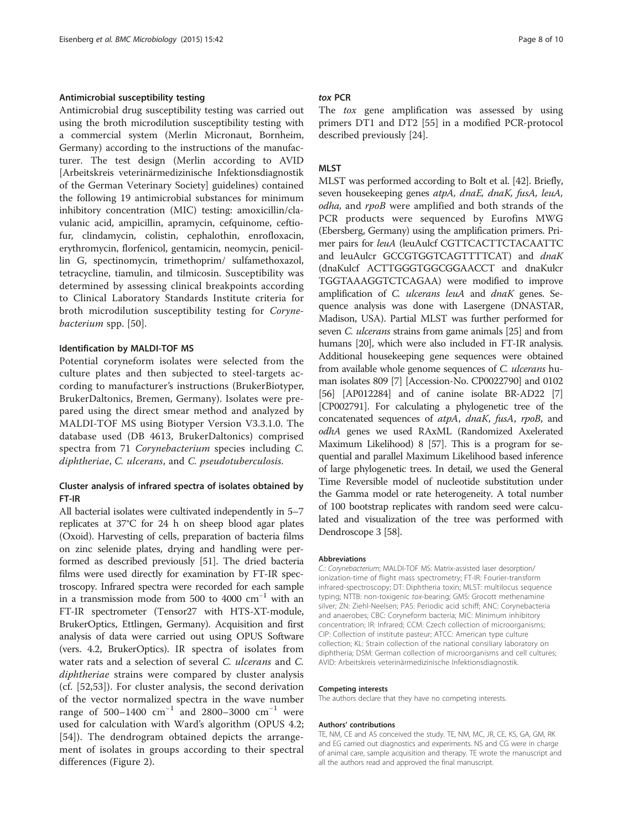#### Antimicrobial susceptibility testing

Antimicrobial drug susceptibility testing was carried out using the broth microdilution susceptibility testing with a commercial system (Merlin Micronaut, Bornheim, Germany) according to the instructions of the manufacturer. The test design (Merlin according to AVID [Arbeitskreis veterinärmedizinische Infektionsdiagnostik of the German Veterinary Society] guidelines) contained the following 19 antimicrobial substances for minimum inhibitory concentration (MIC) testing: amoxicillin/clavulanic acid, ampicillin, apramycin, cefquinome, ceftiofur, clindamycin, colistin, cephalothin, enrofloxacin, erythromycin, florfenicol, gentamicin, neomycin, penicillin G, spectinomycin, trimethoprim/ sulfamethoxazol, tetracycline, tiamulin, and tilmicosin. Susceptibility was determined by assessing clinical breakpoints according to Clinical Laboratory Standards Institute criteria for broth microdilution susceptibility testing for Corynebacterium spp. [[50\]](#page-9-0).

#### Identification by MALDI-TOF MS

Potential coryneform isolates were selected from the culture plates and then subjected to steel-targets according to manufacturer's instructions (BrukerBiotyper, BrukerDaltonics, Bremen, Germany). Isolates were prepared using the direct smear method and analyzed by MALDI-TOF MS using Biotyper Version V3.3.1.0. The database used (DB 4613, BrukerDaltonics) comprised spectra from 71 Corynebacterium species including C. diphtheriae, C. ulcerans, and C. pseudotuberculosis.

# Cluster analysis of infrared spectra of isolates obtained by FT-IR

All bacterial isolates were cultivated independently in 5–7 replicates at 37°C for 24 h on sheep blood agar plates (Oxoid). Harvesting of cells, preparation of bacteria films on zinc selenide plates, drying and handling were performed as described previously [[51\]](#page-9-0). The dried bacteria films were used directly for examination by FT-IR spectroscopy. Infrared spectra were recorded for each sample in a transmission mode from 500 to 4000  $cm^{-1}$  with an FT-IR spectrometer (Tensor27 with HTS-XT-module, BrukerOptics, Ettlingen, Germany). Acquisition and first analysis of data were carried out using OPUS Software (vers. 4.2, BrukerOptics). IR spectra of isolates from water rats and a selection of several *C. ulcerans* and *C.* diphtheriae strains were compared by cluster analysis (cf. [[52,53\]](#page-9-0)). For cluster analysis, the second derivation of the vector normalized spectra in the wave number range of 500–1400 cm−<sup>1</sup> and 2800–3000 cm−<sup>1</sup> were used for calculation with Ward's algorithm (OPUS 4.2; [[54\]](#page-9-0)). The dendrogram obtained depicts the arrangement of isolates in groups according to their spectral differences (Figure [2](#page-3-0)).

#### tox PCR

The tox gene amplification was assessed by using primers DT1 and DT2 [\[55](#page-9-0)] in a modified PCR-protocol described previously [\[24\]](#page-8-0).

#### MLST

MLST was performed according to Bolt et al. [\[42\]](#page-9-0). Briefly, seven housekeeping genes atpA, dnaE, dnaK, fusA, leuA, odha, and rpoB were amplified and both strands of the PCR products were sequenced by Eurofins MWG (Ebersberg, Germany) using the amplification primers. Primer pairs for leuA (leuAulcf CGTTCACTTCTACAATTC and leuAulcr GCCGTGGTCAGTTTTCAT) and dnaK (dnaKulcf ACTTGGGTGGCGGAACCT and dnaKulcr TGGTAAAGGTCTCAGAA) were modified to improve amplification of C. ulcerans leuA and dnaK genes. Sequence analysis was done with Lasergene (DNASTAR, Madison, USA). Partial MLST was further performed for seven *C. ulcerans* strains from game animals [\[25](#page-8-0)] and from humans [\[20\]](#page-8-0), which were also included in FT-IR analysis. Additional housekeeping gene sequences were obtained from available whole genome sequences of C. ulcerans human isolates 809 [\[7\]](#page-8-0) [Accession-No. CP0022790] and 0102 [[56](#page-9-0)] [AP012284] and of canine isolate BR-AD22 [[7](#page-8-0)] [CP002791]. For calculating a phylogenetic tree of the concatenated sequences of atpA, dnaK, fusA, rpoB, and odhA genes we used RAxML (Randomized Axelerated Maximum Likelihood) 8 [\[57\]](#page-9-0). This is a program for sequential and parallel Maximum Likelihood based inference of large phylogenetic trees. In detail, we used the General Time Reversible model of nucleotide substitution under the Gamma model or rate heterogeneity. A total number of 100 bootstrap replicates with random seed were calculated and visualization of the tree was performed with Dendroscope 3 [\[58\]](#page-9-0).

#### Abbreviations

C.: Corynebacterium; MALDI-TOF MS: Matrix-assisted laser desorption/ ionization-time of flight mass spectrometry; FT-IR: Fourier-transform infrared-spectroscopy; DT: Diphtheria toxin; MLST: multilocus sequence typing; NTTB: non-toxigenic tox-bearing; GMS: Grocott methenamine silver; ZN: Ziehl-Neelsen; PAS: Periodic acid schiff; ANC: Corynebacteria and anaerobes; CBC: Coryneform bacteria; MIC: Minimum inhibitory concentration; IR: Infrared; CCM: Czech collection of microorganisms; CIP: Collection of institute pasteur; ATCC: American type culture collection; KL: Strain collection of the national consiliary laboratory on diphtheria; DSM: German collection of microorganisms and cell cultures; AVID: Arbeitskreis veterinärmedizinische Infektionsdiagnostik.

#### Competing interests

The authors declare that they have no competing interests.

#### Authors' contributions

TE, NM, CE and AS conceived the study. TE, NM, MC, JR, CE, KS, GA, GM, RK and EG carried out diagnostics and experiments. NS and CG were in charge of animal care, sample acquisition and therapy. TE wrote the manuscript and all the authors read and approved the final manuscript.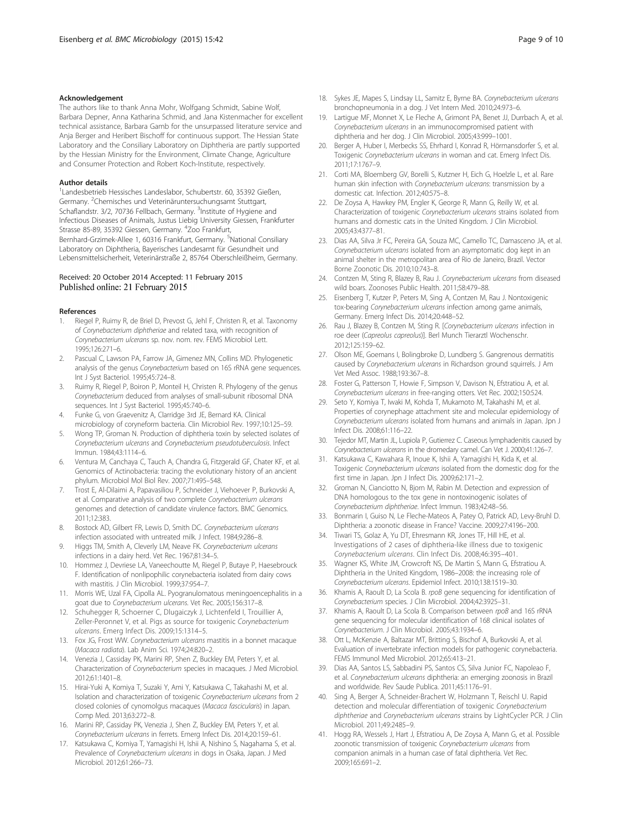#### <span id="page-8-0"></span>Acknowledgement

The authors like to thank Anna Mohr, Wolfgang Schmidt, Sabine Wolf, Barbara Depner, Anna Katharina Schmid, and Jana Kistenmacher for excellent technical assistance, Barbara Gamb for the unsurpassed literature service and Anja Berger and Heribert Bischoff for continuous support. The Hessian State Laboratory and the Consiliary Laboratory on Diphtheria are partly supported by the Hessian Ministry for the Environment, Climate Change, Agriculture and Consumer Protection and Robert Koch-Institute, respectively.

#### Author details

<sup>1</sup> Landesbetrieb Hessisches Landeslabor, Schubertstr. 60, 35392 Gießen, Germany. <sup>2</sup>Chemisches und Veterinäruntersuchungsamt Stuttgart, Schaflandstr. 3/2, 70736 Fellbach, Germany. <sup>3</sup>Institute of Hygiene and Infectious Diseases of Animals, Justus Liebig University Giessen, Frankfurter Strasse 85-89, 35392 Giessen, Germany. <sup>4</sup>Zoo Frankfurt, Bernhard-Grzimek-Allee 1, 60316 Frankfurt, Germany. <sup>5</sup>National Consiliary Laboratory on Diphtheria, Bayerisches Landesamt für Gesundheit und Lebensmittelsicherheit, Veterinärstraße 2, 85764 Oberschleißheim, Germany.

#### Received: 20 October 2014 Accepted: 11 February 2015 Published online: 21 February 2015

#### References

- 1. Riegel P, Ruimy R, de Briel D, Prevost G, Jehl F, Christen R, et al. Taxonomy of Corynebacterium diphtheriae and related taxa, with recognition of Corynebacterium ulcerans sp. nov. nom. rev. FEMS Microbiol Lett. 1995;126:271–6.
- 2. Pascual C, Lawson PA, Farrow JA, Gimenez MN, Collins MD. Phylogenetic analysis of the genus Corynebacterium based on 16S rRNA gene sequences. Int J Syst Bacteriol. 1995;45:724-8.
- Ruimy R, Riegel P, Boiron P, Monteil H, Christen R. Phylogeny of the genus Corynebacterium deduced from analyses of small-subunit ribosomal DNA sequences. Int J Syst Bacteriol. 1995;45:740–6.
- 4. Funke G, von Graevenitz A, Clarridge 3rd JE, Bernard KA. Clinical microbiology of coryneform bacteria. Clin Microbiol Rev. 1997;10:125–59.
- 5. Wong TP, Groman N. Production of diphtheria toxin by selected isolates of Corynebacterium ulcerans and Corynebacterium pseudotuberculosis. Infect Immun. 1984;43:1114–6.
- 6. Ventura M, Canchaya C, Tauch A, Chandra G, Fitzgerald GF, Chater KF, et al. Genomics of Actinobacteria: tracing the evolutionary history of an ancient phylum. Microbiol Mol Biol Rev. 2007;71:495–548.
- 7. Trost E, Al-Dilaimi A, Papavasiliou P, Schneider J, Viehoever P, Burkovski A, et al. Comparative analysis of two complete Corynebacterium ulcerans genomes and detection of candidate virulence factors. BMC Genomics. 2011;12:383.
- 8. Bostock AD, Gilbert FR, Lewis D, Smith DC. Corynebacterium ulcerans infection associated with untreated milk. J Infect. 1984;9:286–8.
- Higgs TM, Smith A, Cleverly LM, Neave FK. Corynebacterium ulcerans infections in a dairy herd. Vet Rec. 1967;81:34–5.
- 10. Hommez J, Devriese LA, Vaneechoutte M, Riegel P, Butaye P, Haesebrouck F. Identification of nonlipophilic corynebacteria isolated from dairy cows with mastitis. J Clin Microbiol. 1999;37:954–7.
- 11. Morris WE, Uzal FA, Cipolla AL. Pyogranulomatous meningoencephalitis in a goat due to Corynebacterium ulcerans. Vet Rec. 2005;156:317–8.
- 12. Schuhegger R, Schoerner C, Dlugaiczyk J, Lichtenfeld I, Trouillier A, Zeller-Peronnet V, et al. Pigs as source for toxigenic Corynebacterium ulcerans. Emerg Infect Dis. 2009;15:1314–5.
- 13. Fox JG, Frost WW. Corynebacterium ulcerans mastitis in a bonnet macaque (Macaca radiata). Lab Anim Sci. 1974;24:820–2.
- 14. Venezia J, Cassiday PK, Marini RP, Shen Z, Buckley EM, Peters Y, et al. Characterization of Corynebacterium species in macaques. J Med Microbiol. 2012;61:1401–8.
- 15. Hirai-Yuki A, Komiya T, Suzaki Y, Ami Y, Katsukawa C, Takahashi M, et al. Isolation and characterization of toxigenic Corynebacterium ulcerans from 2 closed colonies of cynomolgus macaques (Macaca fascicularis) in Japan. Comp Med. 2013;63:272–8.
- 16. Marini RP, Cassiday PK, Venezia J, Shen Z, Buckley EM, Peters Y, et al. Corynebacterium ulcerans in ferrets. Emerg Infect Dis. 2014;20:159–61.
- 17. Katsukawa C, Komiya T, Yamagishi H, Ishii A, Nishino S, Nagahama S, et al. Prevalence of Corynebacterium ulcerans in dogs in Osaka, Japan. J Med Microbiol. 2012;61:266–73.
- 18. Sykes JE, Mapes S, Lindsay LL, Samitz E, Byrne BA. Corynebacterium ulcerans bronchopneumonia in a dog. J Vet Intern Med. 2010;24:973–6.
- 19. Lartigue MF, Monnet X, Le Fleche A, Grimont PA, Benet JJ, Durrbach A, et al. Corynebacterium ulcerans in an immunocompromised patient with diphtheria and her dog. J Clin Microbiol. 2005;43:999–1001.
- 20. Berger A, Huber I, Merbecks SS, Ehrhard I, Konrad R, Hörmansdorfer S, et al. Toxigenic Corynebacterium ulcerans in woman and cat. Emerg Infect Dis. 2011;17:1767–9.
- 21. Corti MA, Bloemberg GV, Borelli S, Kutzner H, Eich G, Hoelzle L, et al. Rare human skin infection with Corynebacterium ulcerans: transmission by a domestic cat. Infection. 2012;40:575–8.
- 22. De Zoysa A, Hawkey PM, Engler K, George R, Mann G, Reilly W, et al. Characterization of toxigenic Corynebacterium ulcerans strains isolated from humans and domestic cats in the United Kingdom. J Clin Microbiol. 2005;43:4377–81.
- 23. Dias AA, Silva Jr FC, Pereira GA, Souza MC, Camello TC, Damasceno JA, et al. Corynebacterium ulcerans isolated from an asymptomatic dog kept in an animal shelter in the metropolitan area of Rio de Janeiro, Brazil. Vector Borne Zoonotic Dis. 2010;10:743–8.
- 24. Contzen M, Sting R, Blazey B, Rau J. Corynebacterium ulcerans from diseased wild boars. Zoonoses Public Health. 2011;58:479–88.
- 25. Eisenberg T, Kutzer P, Peters M, Sing A, Contzen M, Rau J. Nontoxigenic tox-bearing Corynebacterium ulcerans infection among game animals, Germany. Emerg Infect Dis. 2014;20:448–52.
- 26. Rau J, Blazey B, Contzen M, Sting R. [Corynebacterium ulcerans infection in roe deer (Capreolus capreolus)]. Berl Munch Tierarztl Wochenschr. 2012;125:159–62.
- 27. Olson ME, Goemans I, Bolingbroke D, Lundberg S. Gangrenous dermatitis caused by Corynebacterium ulcerans in Richardson ground squirrels. J Am Vet Med Assoc. 1988;193:367–8.
- 28. Foster G, Patterson T, Howie F, Simpson V, Davison N, Efstratiou A, et al. Corynebacterium ulcerans in free-ranging otters. Vet Rec. 2002;150:524.
- 29. Seto Y, Komiya T, Iwaki M, Kohda T, Mukamoto M, Takahashi M, et al. Properties of corynephage attachment site and molecular epidemiology of Corynebacterium ulcerans isolated from humans and animals in Japan. Jpn J Infect Dis. 2008;61:116–22.
- 30. Tejedor MT, Martin JL, Lupiola P, Gutierrez C. Caseous lymphadenitis caused by Corynebacterium ulcerans in the dromedary camel. Can Vet J. 2000;41:126–7.
- 31. Katsukawa C, Kawahara R, Inoue K, Ishii A, Yamagishi H, Kida K, et al. Toxigenic Corynebacterium ulcerans isolated from the domestic dog for the first time in Japan. Jpn J Infect Dis. 2009;62:171–2.
- 32. Groman N, Cianciotto N, Bjorn M, Rabin M. Detection and expression of DNA homologous to the tox gene in nontoxinogenic isolates of Corynebacterium diphtheriae. Infect Immun. 1983;42:48–56.
- 33. Bonmarin I, Guiso N, Le Fleche-Mateos A, Patey O, Patrick AD, Levy-Bruhl D. Diphtheria: a zoonotic disease in France? Vaccine. 2009;27:4196–200.
- 34. Tiwari TS, Golaz A, Yu DT, Ehresmann KR, Jones TF, Hill HE, et al. Investigations of 2 cases of diphtheria-like illness due to toxigenic Corynebacterium ulcerans. Clin Infect Dis. 2008;46:395–401.
- 35. Wagner KS, White JM, Crowcroft NS, De Martin S, Mann G, Efstratiou A. Diphtheria in the United Kingdom, 1986–2008: the increasing role of Corynebacterium ulcerans. Epidemiol Infect. 2010;138:1519–30.
- 36. Khamis A, Raoult D, La Scola B. rpoB gene sequencing for identification of Corynebacterium species. J Clin Microbiol. 2004;42:3925–31.
- 37. Khamis A, Raoult D, La Scola B. Comparison between rpoB and 16S rRNA gene sequencing for molecular identification of 168 clinical isolates of Corynebacterium. J Clin Microbiol. 2005;43:1934–6.
- 38. Ott L, McKenzie A, Baltazar MT, Britting S, Bischof A, Burkovski A, et al. Evaluation of invertebrate infection models for pathogenic corynebacteria. FEMS Immunol Med Microbiol. 2012;65:413–21.
- 39. Dias AA, Santos LS, Sabbadini PS, Santos CS, Silva Junior FC, Napoleao F, et al. Corynebacterium ulcerans diphtheria: an emerging zoonosis in Brazil and worldwide. Rev Saude Publica. 2011;45:1176–91.
- 40. Sing A, Berger A, Schneider-Brachert W, Holzmann T, Reischl U. Rapid detection and molecular differentiation of toxigenic Corynebacterium diphtheriae and Corynebacterium ulcerans strains by LightCycler PCR. J Clin Microbiol. 2011;49:2485–9.
- 41. Hogg RA, Wessels J, Hart J, Efstratiou A, De Zoysa A, Mann G, et al. Possible zoonotic transmission of toxigenic Corynebacterium ulcerans from companion animals in a human case of fatal diphtheria. Vet Rec. 2009;165:691–2.